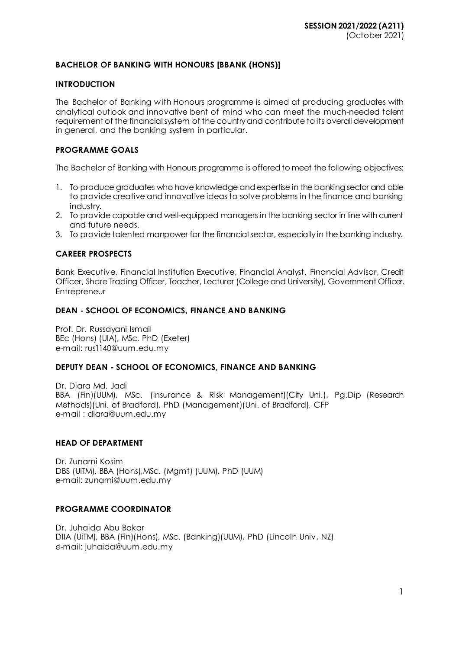# **BACHELOR OF BANKING WITH HONOURS [BBANK (HONS)]**

### **INTRODUCTION**

The Bachelor of Banking with Honours programme is aimed at producing graduates with analytical outlook and innovative bent of mind who can meet the much-needed talent requirement of the financial system of the country and contribute to its overall development in general, and the banking system in particular.

### **PROGRAMME GOALS**

The Bachelor of Banking with Honours programme is offered to meet the following objectives:

- 1. To produce graduates who have knowledge and expertise in the banking sector and able to provide creative and innovative ideas to solve problems in the finance and banking industry.
- 2. To provide capable and well-equipped managers in the banking sector in line with current and future needs.
- 3. To provide talented manpower for the financial sector, especially in the banking industry.

# **CAREER PROSPECTS**

Bank Executive, Financial Institution Executive, Financial Analyst, Financial Advisor, Credit Officer, Share Trading Officer, Teacher, Lecturer (College and University), Government Officer, **Entrepreneur** 

### **DEAN - SCHOOL OF ECONOMICS, FINANCE AND BANKING**

Prof. Dr. Russayani Ismail BEc (Hons) (UIA), MSc, PhD (Exeter) e-mail: [rus1140@uum.edu.my](mailto:rus1140@uum.edu.my)

#### **DEPUTY DEAN - SCHOOL OF ECONOMICS, FINANCE AND BANKING**

Dr. Diara Md. Jadi BBA (Fin)(UUM), MSc. (Insurance & Risk Management)(City Uni.), Pg.Dip (Research Methods)(Uni. of Bradford), PhD (Management)(Uni. of Bradford), CFP e-mail [: diara@uum.edu.m](mailto:diara@uum.edu.my)y

#### **HEAD OF DEPARTMENT**

Dr. Zunarni Kosim DBS (UiTM), BBA (Hons),MSc. (Mgmt) (UUM), PhD (UUM) e-mail: zunarni@uum.edu.my

# **PROGRAMME COORDINATOR**

Dr. Juhaida Abu Bakar DIIA (UiTM), BBA (Fin)(Hons), MSc. (Banking)(UUM), PhD (Lincoln Univ, NZ) e-mail: juhaida@uum.edu.my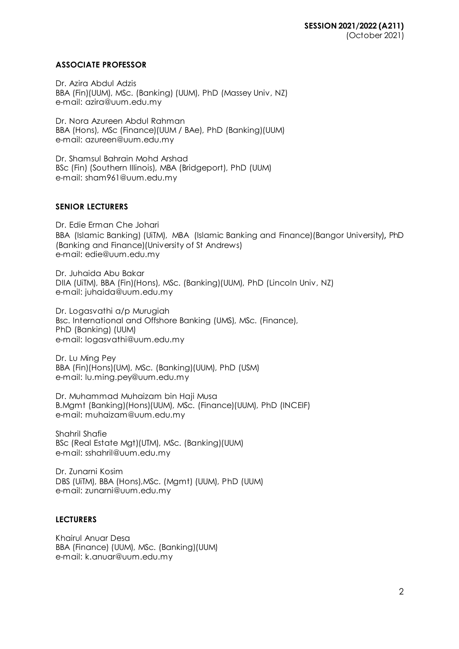### **ASSOCIATE PROFESSOR**

Dr. Azira Abdul Adzis BBA (Fin)(UUM), MSc. (Banking) (UUM), PhD (Massey Univ, NZ) e-mail: azira@uum.edu.my

Dr. Nora Azureen Abdul Rahman BBA (Hons), MSc (Finance)(UUM / BAe), PhD (Banking)(UUM) e-mail[: azureen@uum.edu.m](mailto:azureen@uum.edu.my)y

Dr. Shamsul Bahrain Mohd Arshad BSc (Fin) (Southern IIIinois), MBA (Bridgeport), PhD (UUM) e-mail[: sham961@uum.edu.m](mailto:sham961@uum.edu.my)y

### **SENIOR LECTURERS**

Dr. Edie Erman Che Johari BBA (Islamic Banking) (UiTM), MBA (Islamic Banking and Finance)(Bangor University), PhD (Banking and Finance)(University of St Andrews) e-mail: edie@uum.edu.my

Dr. Juhaida Abu Bakar DIIA (UiTM), BBA (Fin)(Hons), MSc. (Banking)(UUM), PhD (Lincoln Univ, NZ) e-mail: juhaida@uum.edu.my

Dr. Logasvathi a/p Murugiah Bsc. International and Offshore Banking (UMS), MSc. (Finance), PhD (Banking) (UUM) e-mail[: logasvathi@uum.edu.m](mailto:logasvathi@uum.edu.my)y

Dr. Lu Ming Pey BBA (Fin)(Hons)(UM), MSc. (Banking)(UUM), PhD (USM) e-mail[: lu.ming.pey@uum.edu.m](mailto:lu.ming.pey@uum.edu.my)y

Dr. Muhammad Muhaizam bin Haji Musa B.Mgmt (Banking)(Hons)(UUM), MSc. (Finance)(UUM), PhD (INCEIF) e-mail[: muhaizam@uum.edu.m](https://uummail.uum.edu.my/OWA/redir.aspx?C=316134b06fae444581b2bc670d646f2b&URL=mailto%3amuhaizam%40uum.edu.my)y

Shahril Shafie BSc (Real Estate Mgt)(UTM), MSc. (Banking)(UUM) e-mail[: sshahril@uum.edu.m](mailto:sshahril@uum.edu.my)y

Dr. Zunarni Kosim DBS (UiTM), BBA (Hons),MSc. (Mgmt) (UUM), PhD (UUM) e-mail: zunarni@uum.edu.my

### **LECTURERS**

Khairul Anuar Desa BBA (Finance) (UUM), MSc. (Banking)(UUM) e-mail: k.anuar@uum.edu.my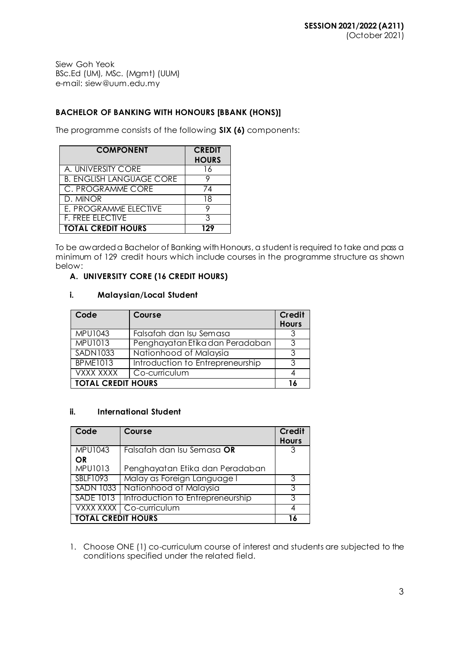Siew Goh Yeok BSc.Ed (UM), MSc. (Mgmt) (UUM) e-mail[: siew@uum.edu.m](mailto:siew@uum.edu.my)y

# **BACHELOR OF BANKING WITH HONOURS [BBANK (HONS)]**

The programme consists of the following **SIX (6)** components:

| <b>COMPONENT</b>                | <b>CREDIT</b><br><b>HOURS</b> |
|---------------------------------|-------------------------------|
| A. UNIVERSITY CORE              | 16                            |
| <b>B. ENGLISH LANGUAGE CORE</b> |                               |
| C. PROGRAMME CORE               | 74                            |
| D. MINOR                        | 18                            |
| E. PROGRAMME ELECTIVE           |                               |
| <b>F. FREE ELECTIVE</b>         |                               |
| <b>TOTAL CREDIT HOURS</b>       | 129                           |

To be awarded a Bachelor of Banking with Honours, a student is required to take and pass a minimum of 129 credit hours which include courses in the programme structure as shown below:

# **A. UNIVERSITY CORE (16 CREDIT HOURS)**

# **i. Malaysian/Local Student**

| Code                      | Course                           | Credit<br><b>Hours</b> |  |
|---------------------------|----------------------------------|------------------------|--|
| <b>MPU1043</b>            | Falsafah dan Isu Semasa          |                        |  |
| <b>MPU1013</b>            | Penghayatan Etika dan Peradaban  | ঽ                      |  |
| <b>SADN1033</b>           | Nationhood of Malaysia           |                        |  |
| <b>BPME1013</b>           | Introduction to Entrepreneurship | ર                      |  |
| VXXX XXXX                 | Co-curriculum                    |                        |  |
| <b>TOTAL CREDIT HOURS</b> |                                  |                        |  |

# **ii. International Student**

| Code                        | Course                                       | <b>Credit</b><br><b>Hours</b> |
|-----------------------------|----------------------------------------------|-------------------------------|
| <b>MPU1043</b>              | Falsafah dan Isu Semasa OR                   |                               |
| <b>OR</b><br><b>MPU1013</b> | Penghayatan Etika dan Peradaban              |                               |
| SBLF1093                    | Malay as Foreign Language I                  |                               |
|                             | SADN 1033 Nationhood of Malaysia             |                               |
|                             | SADE 1013   Introduction to Entrepreneurship |                               |
|                             | VXXX XXXX   Co-curriculum                    |                               |
| <b>TOTAL CREDIT HOURS</b>   |                                              |                               |

1. Choose ONE (1) co-curriculum course of interest and students are subjected to the conditions specified under the related field.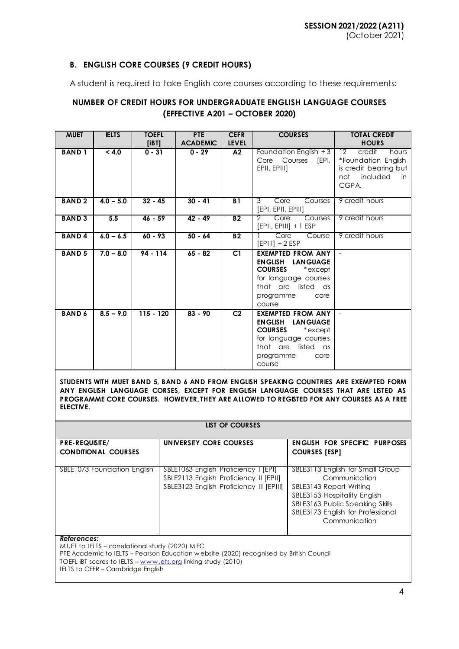# **B. ENGLISH CORE COURSES (9 CREDIT HOURS)**

A student is required to take English core courses according to these requirements:

# **NUMBER OF CREDIT HOURS FOR UNDERGRADUATE ENGLISH LANGUAGE COURSES (EFFECTIVE A201 – OCTOBER 2020)**

| <b>MUET</b>   | <b>IELTS</b> | <b>TOEFL</b><br>[IBT] | <b>PTE</b><br><b>ACADEMIC</b> | <b>CEFR</b><br><b>LEVEL</b> | <b>COURSES</b>                                                                                                                                                                     | <b>TOTAL CREDIT</b><br><b>HOURS</b>                                                                               |
|---------------|--------------|-----------------------|-------------------------------|-----------------------------|------------------------------------------------------------------------------------------------------------------------------------------------------------------------------------|-------------------------------------------------------------------------------------------------------------------|
| <b>BAND1</b>  | < 4.0        | $0 - 31$              | $0 - 29$                      | A2                          | Foundation English + 3<br>Core Courses<br>[EPI,<br>EPII, EPIII]                                                                                                                    | 12 <sup>2</sup><br>credit<br>hours<br>*Foundation English<br>is credit bearing but<br>not included<br>in<br>CGPA. |
| <b>BAND2</b>  | $4.0 - 5.0$  | $32 - 45$             | $30 - 41$                     | B1                          | Core<br>Courses<br>3<br>[EPI, EPII, EPIII]                                                                                                                                         | 9 credit hours                                                                                                    |
| <b>BAND 3</b> | 5.5          | $46 - 59$             | $42 - 49$                     | B2                          | 2<br>Core<br>Courses<br>$[EPII, EPIII] + 1 ESP$                                                                                                                                    | 9 credit hours                                                                                                    |
| <b>BAND4</b>  | $6.0 - 6.5$  | $60 - 93$             | $50 - 64$                     | <b>B2</b>                   | Core<br>Course<br>$[EPIII] + 2 ESP$                                                                                                                                                | 9 credit hours                                                                                                    |
| <b>BAND 5</b> | $7.0 - 8.0$  | $94 - 114$            | $65 - 82$                     | C1                          | <b>EXEMPTED FROM ANY</b><br><b>ENGLISH LANGUAGE</b><br><b>COURSES</b><br>*except<br>for language courses<br>that are listed as<br>programme<br>core<br>course                      | $\sim$                                                                                                            |
| <b>BAND 6</b> | $8.5 - 9.0$  | $115 - 120$           | $83 - 90$                     | C <sub>2</sub>              | <b>EXEMPTED FROM ANY</b><br><b>ENGLISH LANGUAGE</b><br><b>COURSES</b><br>$\displaystyle{{}^*}$ except<br>for language courses<br>that are listed as<br>programme<br>core<br>course |                                                                                                                   |

**STUDENTS WITH MUET BAND 5, BAND 6 AND FROM ENGLISH SPEAKING COUNTRIES ARE EXEMPTED FORM ANY ENGLISH LANGUAGE CORSES, EXCEPT FOR ENGLISH LANGUAGE COURSES THAT ARE LISTED AS PROGRAMME CORE COURSES. HOWEVER, THEY ARE ALLOWED TO REGISTED FOR ANY COURSES AS A FREE ELECTIVE.**

#### **LIST OF COURSES**

| <b>PRE-REQUISITE/</b><br><b>CONDITIONAL COURSES</b> | UNIVERSITY CORE COURSES                                                                                                    | ENGLISH FOR SPECIFIC PURPOSES<br><b>COURSES [ESP]</b>                                                                                                                                                 |
|-----------------------------------------------------|----------------------------------------------------------------------------------------------------------------------------|-------------------------------------------------------------------------------------------------------------------------------------------------------------------------------------------------------|
| SBLE1073 Foundation English                         | SBLE1063 English Proficiency I [EPI]<br>SBLE2113 English Proficiency II [EPII]<br>SBLE3123 English Proficiency III [EPIII] | SBLE3113 English for Small Group<br>Communication<br>SBLE3143 Report Writing<br>SBLE3153 Hospitality English<br>SBLE3163 Public Speaking Skills<br>SBLE3173 English for Professional<br>Communication |

#### *References:*

M UET to IELTS – correlational study (2020) M EC

PTE Academic to IELTS – Pearson Education w ebsite (2020) recognised by British Council

TOEFL IBT scores to IELTS - www.ets.org linking study (2010)

IELTS to CEFR - Cambridge English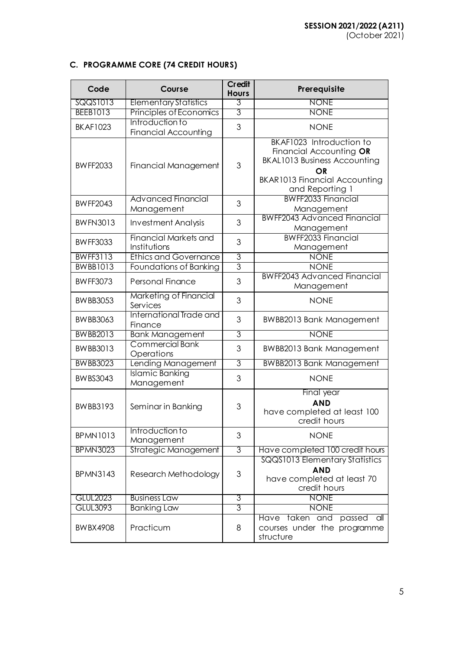# **C. PROGRAMME CORE (74 CREDIT HOURS)**

| Code            | Course                                         | Credit<br><b>Hours</b> | Prerequisite                                                                                                                                                       |
|-----------------|------------------------------------------------|------------------------|--------------------------------------------------------------------------------------------------------------------------------------------------------------------|
| SQQS1013        | <b>Elementary Statistics</b>                   | 3                      | <b>NONE</b>                                                                                                                                                        |
| <b>BEEB1013</b> | Principles of Economics                        | 3                      | <b>NONE</b>                                                                                                                                                        |
| <b>BKAF1023</b> | Introduction to<br><b>Financial Accounting</b> | 3                      | <b>NONE</b>                                                                                                                                                        |
| <b>BWFF2033</b> | Financial Management                           | 3                      | BKAF1023 Introduction to<br>Financial Accounting OR<br><b>BKAL1013 Business Accounting</b><br><b>OR</b><br><b>BKAR1013 Financial Accounting</b><br>and Reporting 1 |
| <b>BWFF2043</b> | <b>Advanced Financial</b><br>Management        | 3                      | <b>BWFF2033 Financial</b><br>Management                                                                                                                            |
| <b>BWFN3013</b> | <b>Investment Analysis</b>                     | 3                      | <b>BWFF2043 Advanced Financial</b><br>Management                                                                                                                   |
| <b>BWFF3033</b> | <b>Financial Markets and</b><br>Institutions   | 3                      | <b>BWFF2033 Financial</b><br>Management                                                                                                                            |
| <b>BWFF3113</b> | <b>Ethics and Governance</b>                   | $\overline{3}$         | <b>NONE</b>                                                                                                                                                        |
| <b>BWBB1013</b> | Foundations of Banking                         | 3                      | <b>NONE</b>                                                                                                                                                        |
| <b>BWFF3073</b> | <b>Personal Finance</b>                        | 3                      | <b>BWFF2043 Advanced Financial</b><br>Management                                                                                                                   |
| <b>BWBB3053</b> | Marketing of Financial<br>Services             | 3                      | <b>NONE</b>                                                                                                                                                        |
| <b>BWBB3063</b> | International Trade and<br>Finance             | 3                      | <b>BWBB2013 Bank Management</b>                                                                                                                                    |
| <b>BWBB2013</b> | <b>Bank Management</b>                         | $\overline{3}$         | <b>NONE</b>                                                                                                                                                        |
| <b>BWBB3013</b> | <b>Commercial Bank</b><br>Operations           | 3                      | <b>BWBB2013 Bank Management</b>                                                                                                                                    |
| <b>BWBB3023</b> | Lending Management                             | $\overline{3}$         | <b>BWBB2013 Bank Management</b>                                                                                                                                    |
| <b>BWBS3043</b> | <b>Islamic Banking</b><br>Management           | 3                      | <b>NONE</b>                                                                                                                                                        |
| <b>BWBB3193</b> | Seminar in Banking                             | 3                      | Final year<br><b>AND</b><br>have completed at least 100<br>credit hours                                                                                            |
| <b>BPMN1013</b> | Introduction to<br>Management                  | 3                      | <b>NONE</b>                                                                                                                                                        |
| <b>BPMN3023</b> | Strategic Management                           | 3                      | Have completed 100 credit hours                                                                                                                                    |
| <b>BPMN3143</b> | Research Methodology                           | 3                      | SQQS1013 Elementary Statistics<br><b>AND</b><br>have completed at least 70<br>credit hours                                                                         |
| <b>GLUL2023</b> | <b>Business Law</b>                            | 3                      | <b>NONE</b>                                                                                                                                                        |
| <b>GLUL3093</b> | <b>Banking Law</b>                             | 3                      | <b>NONE</b>                                                                                                                                                        |
| <b>BWBX4908</b> | Practicum                                      | 8                      | Have taken and<br>$\frac{1}{2}$<br>passed<br>courses under the programme<br>structure                                                                              |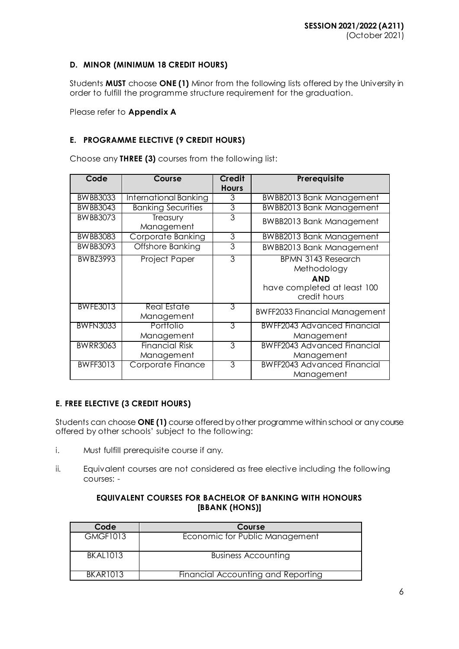# **D. MINOR (MINIMUM 18 CREDIT HOURS)**

Students **MUST** choose **ONE (1)** Minor from the following lists offered by the University in order to fulfill the programme structure requirement for the graduation.

Please refer to **Appendix A**

# **E. PROGRAMME ELECTIVE (9 CREDIT HOURS)**

Choose any **THREE (3)** courses from the following list:

| Code            | Course                              | <b>Credit</b><br><b>Hours</b> | Prerequisite                                                                                          |
|-----------------|-------------------------------------|-------------------------------|-------------------------------------------------------------------------------------------------------|
| <b>BWBB3033</b> | International Banking               | 3                             | <b>BWBB2013 Bank Management</b>                                                                       |
| <b>BWBB3043</b> | <b>Banking Securities</b>           | 3                             | <b>BWBB2013 Bank Management</b>                                                                       |
| <b>BWBB3073</b> | Treasury<br>Management              | 3                             | <b>BWBB2013 Bank Management</b>                                                                       |
| <b>BWBB3083</b> | Corporate Banking                   | 3                             | <b>BWBB2013 Bank Management</b>                                                                       |
| <b>BWBB3093</b> | <b>Offshore Banking</b>             | 3                             | <b>BWBB2013 Bank Management</b>                                                                       |
| <b>BWBZ3993</b> | <b>Project Paper</b>                | $\overline{3}$                | <b>BPMN 3143 Research</b><br>Methodology<br><b>AND</b><br>have completed at least 100<br>credit hours |
| <b>BWFE3013</b> | <b>Real Estate</b><br>Management    | 3                             | <b>BWFF2033 Financial Management</b>                                                                  |
| <b>BWFN3033</b> | Portfolio<br>Management             | 3                             | <b>BWFF2043 Advanced Financial</b><br>Management                                                      |
| <b>BWRR3063</b> | <b>Financial Risk</b><br>Management | 3                             | <b>BWFF2043 Advanced Financial</b><br>Management                                                      |
| <b>BWFF3013</b> | Corporate Finance                   | 3                             | <b>BWFF2043 Advanced Financial</b><br>Management                                                      |

# **E. FREE ELECTIVE (3 CREDIT HOURS)**

Students can choose **ONE (1)** course offered by other programme within school or any course offered by other schools' subject to the following:

- i. Must fulfill prerequisite course if any.
- ii. Equivalent courses are not considered as free elective including the following courses: -

### **EQUIVALENT COURSES FOR BACHELOR OF BANKING WITH HONOURS [BBANK (HONS)]**

| Code            | Course                             |
|-----------------|------------------------------------|
| <b>GMGF1013</b> | Economic for Public Management     |
| <b>BKAL1013</b> | <b>Business Accounting</b>         |
| <b>BKAR1013</b> | Financial Accounting and Reporting |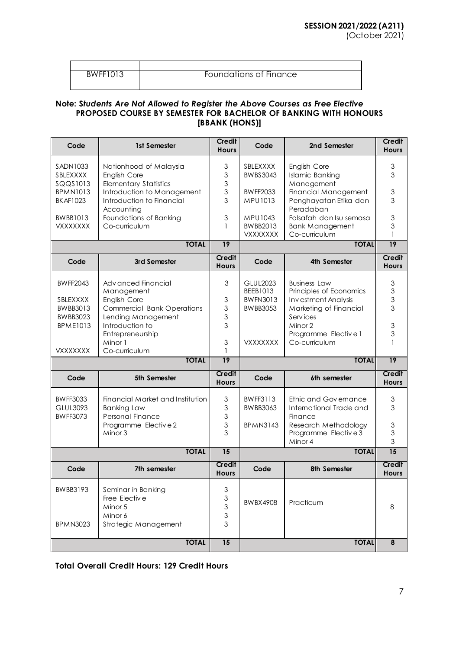### BWFF1013 Foundations of Finance

#### **Note: S***tudents Are Not Allowed to Register the Above Courses as Free Elective* **PROPOSED COURSE BY SEMESTER FOR BACHELOR OF BANKING WITH HONOURS [BBANK (HONS)]**

| Code                                                | 1st Semester                                                                                         | <b>Credit</b><br><b>Hours</b>                                                     | Code                                    | 2nd Semester                                                                 | <b>Credit</b><br><b>Hours</b>       |
|-----------------------------------------------------|------------------------------------------------------------------------------------------------------|-----------------------------------------------------------------------------------|-----------------------------------------|------------------------------------------------------------------------------|-------------------------------------|
| SADN1033<br>SBLEXXXX<br>SQQS1013<br><b>BPMN1013</b> | Nationhood of Malaysia<br>English Core<br><b>Elementary Statistics</b><br>Introduction to Management | 3<br>3<br>3<br>3                                                                  | SBLEXXXX<br>BWBS3043<br><b>BWFF2033</b> | English Core<br><b>Islamic Banking</b><br>Management<br>Financial Management | 3<br>3<br>$\ensuremath{\mathsf{3}}$ |
| <b>BKAF1023</b>                                     | Introduction to Financial<br>Accounting                                                              | 3                                                                                 | MPU1013                                 | Penghayatan Etika dan<br>Peradaban<br>Falsafah dan Isu semasa                | 3<br>$\ensuremath{\mathsf{3}}$      |
| <b>BWBB1013</b><br>VXXXXXXX                         | Foundations of Banking<br>Co-curriculum                                                              | 3<br>1                                                                            | MPU1043<br>BWBB2013<br><b>VXXXXXXX</b>  | <b>Bank Management</b><br>Co-curriculum                                      | 3                                   |
|                                                     | <b>TOTAL</b>                                                                                         | $\overline{19}$                                                                   |                                         | <b>TOTAL</b>                                                                 | $\overline{19}$                     |
| Code                                                | 3rd Semester                                                                                         | <b>Credit</b><br><b>Hours</b>                                                     | Code                                    | 4th Semester                                                                 | <b>Credit</b><br><b>Hours</b>       |
| <b>BWFF2043</b><br>SBLEXXXX                         | Adv anced Financial<br>Management<br>English Core                                                    | 3<br>3                                                                            | GLUL2023<br>BEEB1013<br><b>BWFN3013</b> | <b>Business Law</b><br>Principles of Economics<br>Investment Analysis        | 3<br>$\ensuremath{\mathsf{3}}$<br>3 |
| BWBB3013<br><b>BWBB3023</b><br><b>BPME1013</b>      | <b>Commercial Bank Operations</b><br>Lending Management<br>Introduction to                           | $\mathfrak 3$<br>3<br>3                                                           | <b>BWBB3053</b>                         | Marketing of Financial<br>Services<br>Minor 2                                | 3<br>$\ensuremath{\mathsf{3}}$      |
| <b>VXXXXXXX</b>                                     | Entrepreneurship<br>Minor 1<br>Co-curriculum                                                         | $\mathfrak 3$<br>1                                                                | <b>VXXXXXXX</b>                         | Programme Elective 1<br>Co-curriculum                                        | 3                                   |
|                                                     | <b>TOTAL</b>                                                                                         | 19                                                                                |                                         | <b>TOTAL</b>                                                                 | 19                                  |
| Code                                                | 5th Semester                                                                                         | <b>Credit</b><br><b>Hours</b>                                                     | Code                                    | 6th semester                                                                 | Credit<br><b>Hours</b>              |
| <b>BWFF3033</b><br>GLUL3093<br><b>BWFF3073</b>      | Financial Market and Institution<br><b>Banking Law</b><br>Personal Finance                           | $\ensuremath{\mathsf{3}}$<br>$\mathfrak{S}$<br>3                                  | <b>BWFF3113</b><br>BWBB3063             | Ethic and Governance<br>International Trade and<br>Finance                   | $\ensuremath{\mathsf{3}}$<br>3      |
|                                                     | Programme Elective2<br>Minor 3                                                                       | $\ensuremath{\mathsf{3}}$<br>3                                                    | <b>BPMN3143</b>                         | Research Methodology<br>Programme Elective3<br>Minor 4                       | $\ensuremath{\mathsf{3}}$<br>3<br>3 |
|                                                     | <b>TOTAL</b>                                                                                         | $\overline{15}$                                                                   |                                         | <b>TOTAL</b>                                                                 | $\overline{15}$                     |
| Code                                                | 7th semester                                                                                         | <b>Credit</b><br><b>Hours</b>                                                     | Code                                    | 8th Semester                                                                 | Credit<br><b>Hours</b>              |
| BWBB3193<br><b>BPMN3023</b>                         | Seminar in Banking<br>Free Elective<br>Minor 5<br>Minor 6<br>Strategic Management                    | 3<br>$\ensuremath{\mathsf{3}}$<br>$\ensuremath{\mathsf{3}}$<br>$\mathfrak 3$<br>3 | <b>BWBX4908</b>                         | Practicum                                                                    | 8                                   |
|                                                     | <b>TOTAL</b>                                                                                         | $\overline{15}$                                                                   |                                         | <b>TOTAL</b>                                                                 | 8                                   |

**Total Overall Credit Hours: 129 Credit Hours**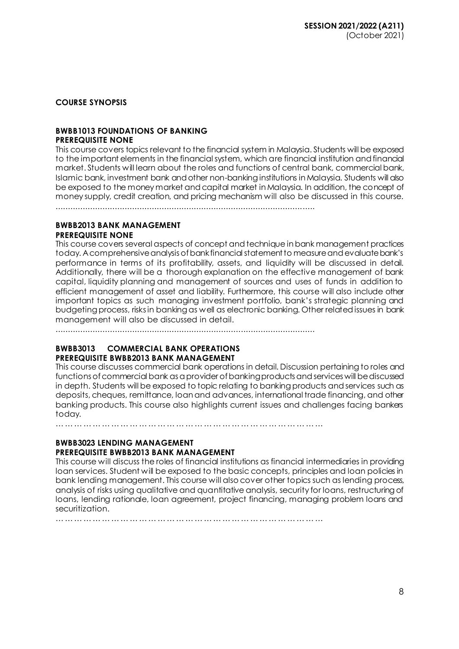# **COURSE SYNOPSIS**

#### **BWBB1013 FOUNDATIONS OF BANKING PREREQUISITE NONE**

This course covers topics relevant to the financial system in Malaysia. Students will be exposed to the important elements in the financial system, which are financial institution and financial market. Students will learn about the roles and functions of central bank, commercial bank, Islamic bank, investment bank and other non-banking institutions in Malaysia. Students will also be exposed to the money market and capital market in Malaysia. In addition, the concept of money supply, credit creation, and pricing mechanism will also be discussed in this course.

.........................................................................................................

### **BWBB2013 BANK MANAGEMENT PREREQUISITE NONE**

This course covers several aspects of concept and technique in bank management practices today. A comprehensive analysis of bank financial statement to measure and evaluate bank's performance in terms of its profitability, assets, and liquidity will be discussed in detail. Additionally, there will be a thorough explanation on the effective management of bank capital, liquidity planning and management of sources and uses of funds in addition to efficient management of asset and liability. Furthermore, this course will also include other important topics as such managing investment portfolio, bank's strategic planning and budgeting process, risks in banking as well as electronic banking. Other related issues in bank management will also be discussed in detail.

.........................................................................................................

#### **BWBB3013 COMMERCIAL BANK OPERATIONS PREREQUISITE BWBB2013 BANK MANAGEMENT**

This course discusses commercial bank operations in detail. Discussion pertaining to roles and functions of commercial bank as a provider of bankingproducts and services will be discussed in depth. Students will be exposed to topic relating to banking products and services such as deposits, cheques, remittance, loan and advances, international trade financing, and other banking products. This course also highlights current issues and challenges facing bankers today.

……………………………………………………………………………

### **BWBB3023 LENDING MANAGEMENT PREREQUISITE BWBB2013 BANK MANAGEMENT**

This course will discuss the roles of financial institutions as financial intermediaries in providing loan services. Student will be exposed to the basic concepts, principles and loan policies in bank lending management. This course will also cover other topics such as lending process, analysis of risks using qualitative and quantitative analysis, security for loans, restructuring of loans, lending rationale, loan agreement, project financing, managing problem loans and securitization.

………………………………………………………………………………………………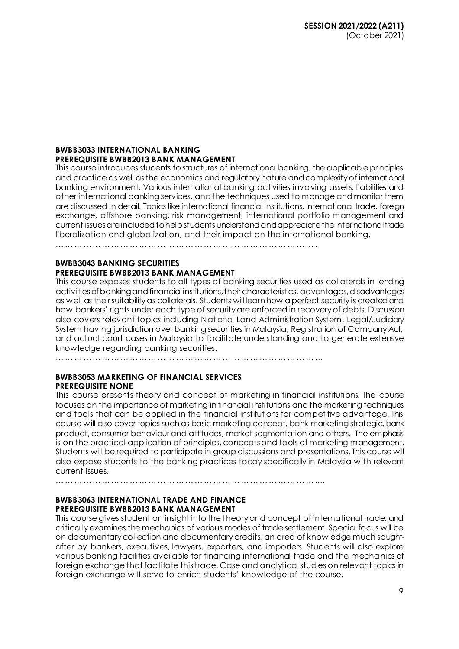#### **BWBB3033 INTERNATIONAL BANKING PREREQUISITE BWBB2013 BANK MANAGEMENT**

This course introduces students to structures of international banking, the applicable principles and practice as well as the economics and regulatory nature and complexity of international banking environment. Various international banking activities involving assets, liabilities and other international banking services, and the techniques used to manage and monitor them are discussed in detail. Topics like international financial institutions, international trade, foreign exchange, offshore banking, risk management, international portfolio management and current issues are included to help students understand and appreciate the international trade liberalization and globalization, and their impact on the international banking.

………………………………………………………………………….

### **BWBB3043 BANKING SECURITIES PREREQUISITE BWBB2013 BANK MANAGEMENT**

This course exposes students to all types of banking securities used as collaterals in lending activities of banking and financial institutions, their characteristics, advantages, disadvantages as well as their suitability as collaterals. Students will learn how a perfect security is created and how bankers' rights under each type of security are enforced in recovery of debts. Discussion also covers relevant topics including National Land Administration System, Legal/Judiciary System having jurisdiction over banking securities in Malaysia, Registration of Company Act, and actual court cases in Malaysia to facilitate understanding and to generate extensive knowledge regarding banking securities.

……………………………………………………………………………

# **BWBB3053 MARKETING OF FINANCIAL SERVICES PREREQUISITE NONE**

This course presents theory and concept of marketing in financial institutions. The course focuses on the importance of marketing in financial institutions and the marketing techniques and tools that can be applied in the financial institutions for competitive advantage. This course will also cover topics such as basic marketing concept, bank marketing strategic, bank product, consumer behaviour and attitudes, market segmentation and others. The emphasis is on the practical application of principles, concepts and tools of marketing management. Students will be required to participate in group discussions and presentations. This course will also expose students to the banking practices today specifically in Malaysia with relevant current issues.

…………………………………………………………………………....

# **BWBB3063 INTERNATIONAL TRADE AND FINANCE PREREQUISITE BWBB2013 BANK MANAGEMENT**

This course gives student an insight into the theory and concept of international trade, and critically examines the mechanics of various modes of trade settlement. Special focus will be on documentary collection and documentary credits, an area of knowledge much soughtafter by bankers, executives, lawyers, exporters, and importers. Students will also explore various banking facilities available for financing international trade and the mechanics of foreign exchange that facilitate this trade. Case and analytical studies on relevant topics in foreign exchange will serve to enrich students' knowledge of the course.